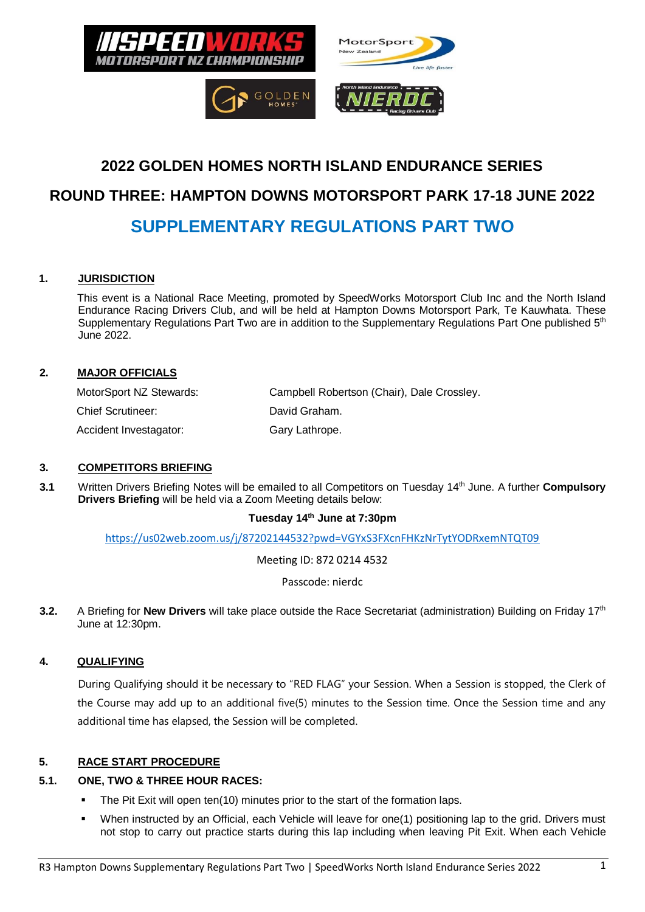

# **2022 GOLDEN HOMES NORTH ISLAND ENDURANCE SERIES**

# **ROUND THREE: HAMPTON DOWNS MOTORSPORT PARK 17-18 JUNE 2022**

# **SUPPLEMENTARY REGULATIONS PART TWO**

#### **1. JURISDICTION**

This event is a National Race Meeting, promoted by SpeedWorks Motorsport Club Inc and the North Island Endurance Racing Drivers Club, and will be held at Hampton Downs Motorsport Park, Te Kauwhata. These Supplementary Regulations Part Two are in addition to the Supplementary Regulations Part One published 5<sup>th</sup> June 2022.

#### **2. MAJOR OFFICIALS**

| MotorSport NZ Stewards:  | Campbell Robertson (Chair), Dale Crossley. |
|--------------------------|--------------------------------------------|
| <b>Chief Scrutineer:</b> | David Graham.                              |
| Accident Investagator:   | Gary Lathrope.                             |

#### **3. COMPETITORS BRIEFING**

3.1 Written Drivers Briefing Notes will be emailed to all Competitors on Tuesday 14<sup>th</sup> June. A further **Compulsory Drivers Briefing** will be held via a Zoom Meeting details below:

#### **Tuesday 14 th June at 7:30pm**

<https://us02web.zoom.us/j/87202144532?pwd=VGYxS3FXcnFHKzNrTytYODRxemNTQT09>

Meeting ID: 872 0214 4532

Passcode: nierdc

3.2. A Briefing for **New Drivers** will take place outside the Race Secretariat (administration) Building on Friday 17<sup>th</sup> June at 12:30pm.

## **4. QUALIFYING**

During Qualifying should it be necessary to "RED FLAG" your Session. When a Session is stopped, the Clerk of the Course may add up to an additional five(5) minutes to the Session time. Once the Session time and any additional time has elapsed, the Session will be completed.

## **5. RACE START PROCEDURE**

# **5.1. ONE, TWO & THREE HOUR RACES:**

- The Pit Exit will open ten(10) minutes prior to the start of the formation laps.
- When instructed by an Official, each Vehicle will leave for one(1) positioning lap to the grid. Drivers must not stop to carry out practice starts during this lap including when leaving Pit Exit. When each Vehicle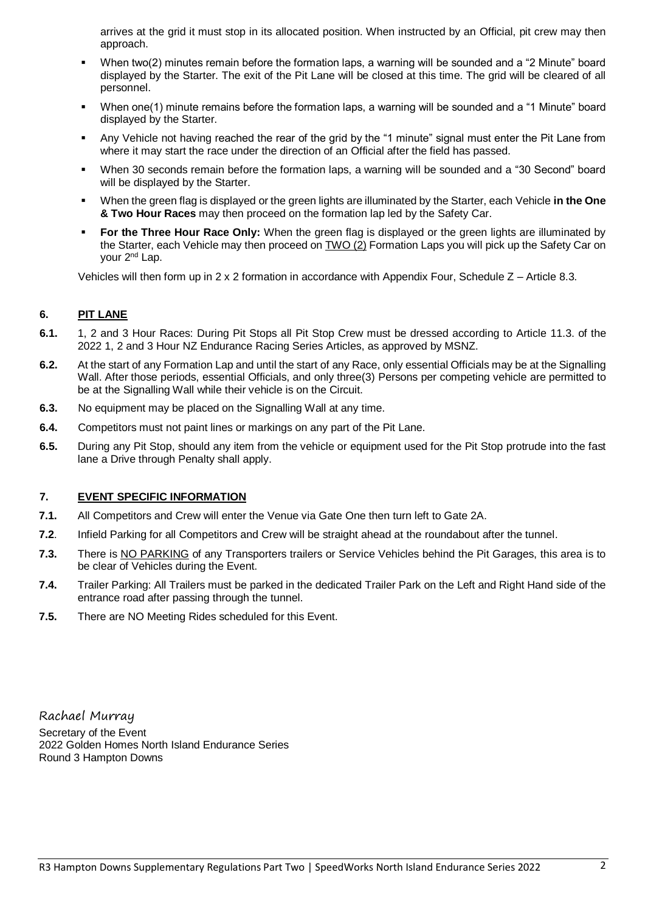arrives at the grid it must stop in its allocated position. When instructed by an Official, pit crew may then approach.

- When two(2) minutes remain before the formation laps, a warning will be sounded and a "2 Minute" board displayed by the Starter. The exit of the Pit Lane will be closed at this time. The grid will be cleared of all personnel.
- When one(1) minute remains before the formation laps, a warning will be sounded and a "1 Minute" board displayed by the Starter.
- Any Vehicle not having reached the rear of the grid by the "1 minute" signal must enter the Pit Lane from where it may start the race under the direction of an Official after the field has passed.
- When 30 seconds remain before the formation laps, a warning will be sounded and a "30 Second" board will be displayed by the Starter.
- When the green flag is displayed or the green lights are illuminated by the Starter, each Vehicle **in the One & Two Hour Races** may then proceed on the formation lap led by the Safety Car.
- **For the Three Hour Race Only:** When the green flag is displayed or the green lights are illuminated by the Starter, each Vehicle may then proceed on TWO (2) Formation Laps you will pick up the Safety Car on your 2nd Lap.

Vehicles will then form up in 2 x 2 formation in accordance with Appendix Four, Schedule Z – Article 8.3.

#### **6. PIT LANE**

- **6.1.** 1, 2 and 3 Hour Races: During Pit Stops all Pit Stop Crew must be dressed according to Article 11.3. of the 2022 1, 2 and 3 Hour NZ Endurance Racing Series Articles, as approved by MSNZ.
- **6.2.** At the start of any Formation Lap and until the start of any Race, only essential Officials may be at the Signalling Wall. After those periods, essential Officials, and only three(3) Persons per competing vehicle are permitted to be at the Signalling Wall while their vehicle is on the Circuit.
- **6.3.** No equipment may be placed on the Signalling Wall at any time.
- **6.4.** Competitors must not paint lines or markings on any part of the Pit Lane.
- **6.5.** During any Pit Stop, should any item from the vehicle or equipment used for the Pit Stop protrude into the fast lane a Drive through Penalty shall apply.

#### **7. EVENT SPECIFIC INFORMATION**

- **7.1.** All Competitors and Crew will enter the Venue via Gate One then turn left to Gate 2A.
- **7.2**. Infield Parking for all Competitors and Crew will be straight ahead at the roundabout after the tunnel.
- **7.3.** There is NO PARKING of any Transporters trailers or Service Vehicles behind the Pit Garages, this area is to be clear of Vehicles during the Event.
- **7.4.** Trailer Parking: All Trailers must be parked in the dedicated Trailer Park on the Left and Right Hand side of the entrance road after passing through the tunnel.
- **7.5.** There are NO Meeting Rides scheduled for this Event.

Rachael Murray Secretary of the Event 2022 Golden Homes North Island Endurance Series Round 3 Hampton Downs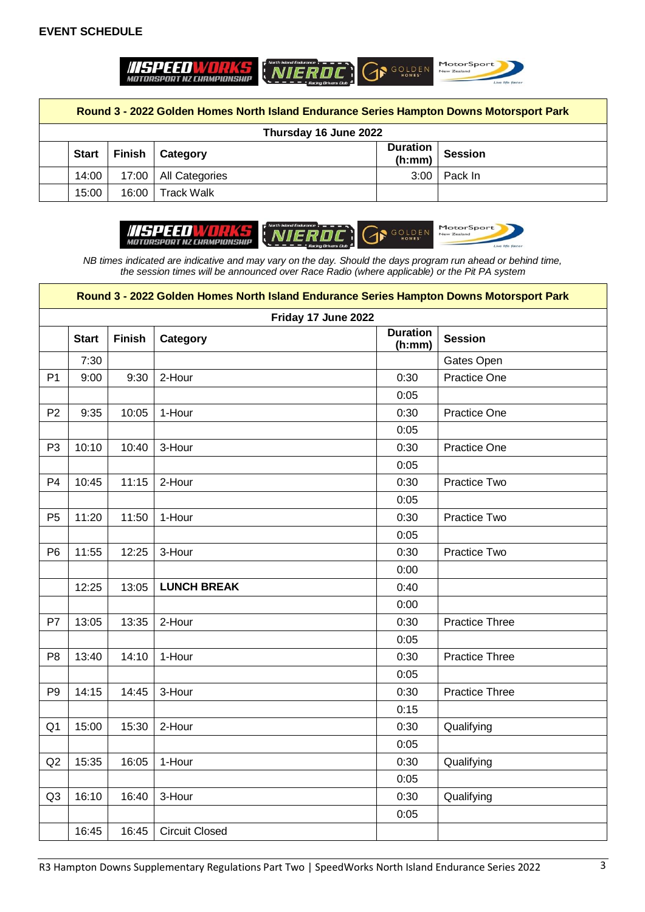## **EVENT SCHEDULE**



**Round 3 - 2022 Golden Homes North Island Endurance Series Hampton Downs Motorsport Park**

| Thursday 16 June 2022 |              |  |                          |        |                    |
|-----------------------|--------------|--|--------------------------|--------|--------------------|
|                       | <b>Start</b> |  | <b>Finish   Category</b> | (h:mm) | Duration   Session |
|                       | 14:00        |  | 17:00   All Categories   |        | $3:00$   Pack In   |
|                       | 15:00        |  | 16:00   Track Walk       |        |                    |



*NB times indicated are indicative and may vary on the day. Should the days program run ahead or behind time, the session times will be announced over Race Radio (where applicable) or the Pit PA system*

|                | Round 3 - 2022 Golden Homes North Island Endurance Series Hampton Downs Motorsport Park |        |                       |                           |                       |  |
|----------------|-----------------------------------------------------------------------------------------|--------|-----------------------|---------------------------|-----------------------|--|
|                | Friday 17 June 2022                                                                     |        |                       |                           |                       |  |
|                | <b>Start</b>                                                                            | Finish | <b>Category</b>       | <b>Duration</b><br>(h:mm) | <b>Session</b>        |  |
|                | 7:30                                                                                    |        |                       |                           | Gates Open            |  |
| P <sub>1</sub> | 9:00                                                                                    | 9:30   | 2-Hour                | 0:30                      | Practice One          |  |
|                |                                                                                         |        |                       | 0:05                      |                       |  |
| P <sub>2</sub> | 9:35                                                                                    | 10:05  | 1-Hour                | 0:30                      | <b>Practice One</b>   |  |
|                |                                                                                         |        |                       | 0:05                      |                       |  |
| P <sub>3</sub> | 10:10                                                                                   | 10:40  | 3-Hour                | 0:30                      | Practice One          |  |
|                |                                                                                         |        |                       | 0:05                      |                       |  |
| P <sub>4</sub> | 10:45                                                                                   | 11:15  | 2-Hour                | 0:30                      | Practice Two          |  |
|                |                                                                                         |        |                       | 0:05                      |                       |  |
| P <sub>5</sub> | 11:20                                                                                   | 11:50  | 1-Hour                | 0:30                      | Practice Two          |  |
|                |                                                                                         |        |                       | 0:05                      |                       |  |
| P <sub>6</sub> | 11:55                                                                                   | 12:25  | 3-Hour                | 0:30                      | Practice Two          |  |
|                |                                                                                         |        |                       | 0:00                      |                       |  |
|                | 12:25                                                                                   | 13:05  | <b>LUNCH BREAK</b>    | 0:40                      |                       |  |
|                |                                                                                         |        |                       | 0:00                      |                       |  |
| P7             | 13:05                                                                                   | 13:35  | 2-Hour                | 0:30                      | <b>Practice Three</b> |  |
|                |                                                                                         |        |                       | 0:05                      |                       |  |
| P <sub>8</sub> | 13:40                                                                                   | 14:10  | 1-Hour                | 0:30                      | <b>Practice Three</b> |  |
|                |                                                                                         |        |                       | 0:05                      |                       |  |
| P <sub>9</sub> | 14:15                                                                                   | 14:45  | 3-Hour                | 0:30                      | <b>Practice Three</b> |  |
|                |                                                                                         |        |                       | 0:15                      |                       |  |
| Q <sub>1</sub> | 15:00                                                                                   | 15:30  | 2-Hour                | 0:30                      | Qualifying            |  |
|                |                                                                                         |        |                       | 0:05                      |                       |  |
| Q2             | 15:35                                                                                   | 16:05  | 1-Hour                | 0:30                      | Qualifying            |  |
|                |                                                                                         |        |                       | 0:05                      |                       |  |
| Q <sub>3</sub> | 16:10                                                                                   | 16:40  | 3-Hour                | 0:30                      | Qualifying            |  |
|                |                                                                                         |        |                       | 0:05                      |                       |  |
|                | 16:45                                                                                   | 16:45  | <b>Circuit Closed</b> |                           |                       |  |